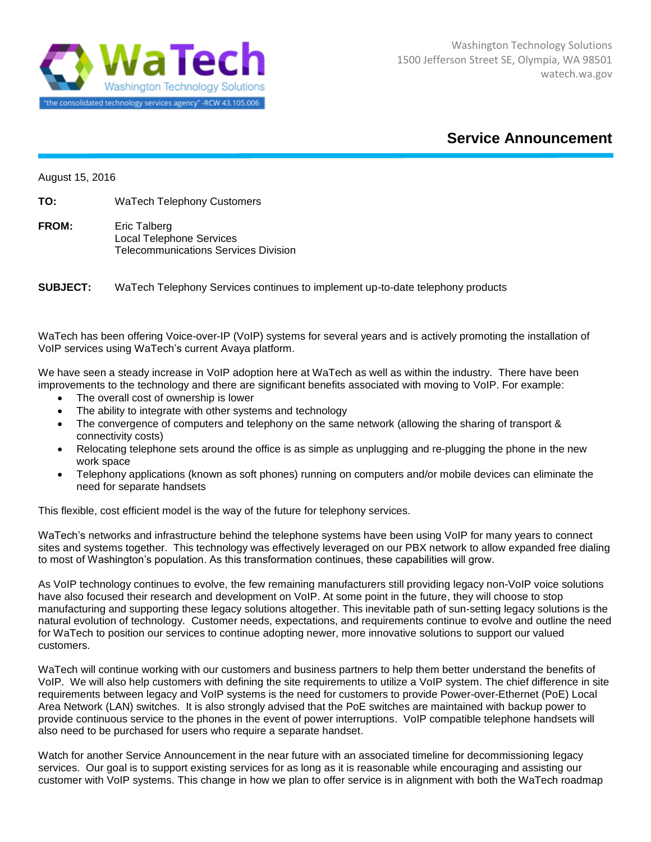

## **Service Announcement**

August 15, 2016

**TO:** WaTech Telephony Customers

**FROM:** Eric Talberg Local Telephone Services Telecommunications Services Division

**SUBJECT:** WaTech Telephony Services continues to implement up-to-date telephony products

WaTech has been offering Voice-over-IP (VoIP) systems for several years and is actively promoting the installation of VoIP services using WaTech's current Avaya platform.

We have seen a steady increase in VoIP adoption here at WaTech as well as within the industry. There have been improvements to the technology and there are significant benefits associated with moving to VoIP. For example:

- The overall cost of ownership is lower
- The ability to integrate with other systems and technology
- The convergence of computers and telephony on the same network (allowing the sharing of transport & connectivity costs)
- Relocating telephone sets around the office is as simple as unplugging and re-plugging the phone in the new work space
- Telephony applications (known as soft phones) running on computers and/or mobile devices can eliminate the need for separate handsets

This flexible, cost efficient model is the way of the future for telephony services.

WaTech's networks and infrastructure behind the telephone systems have been using VoIP for many years to connect sites and systems together. This technology was effectively leveraged on our PBX network to allow expanded free dialing to most of Washington's population. As this transformation continues, these capabilities will grow.

As VoIP technology continues to evolve, the few remaining manufacturers still providing legacy non-VoIP voice solutions have also focused their research and development on VoIP. At some point in the future, they will choose to stop manufacturing and supporting these legacy solutions altogether. This inevitable path of sun-setting legacy solutions is the natural evolution of technology. Customer needs, expectations, and requirements continue to evolve and outline the need for WaTech to position our services to continue adopting newer, more innovative solutions to support our valued customers.

WaTech will continue working with our customers and business partners to help them better understand the benefits of VoIP. We will also help customers with defining the site requirements to utilize a VoIP system. The chief difference in site requirements between legacy and VoIP systems is the need for customers to provide Power-over-Ethernet (PoE) Local Area Network (LAN) switches. It is also strongly advised that the PoE switches are maintained with backup power to provide continuous service to the phones in the event of power interruptions. VoIP compatible telephone handsets will also need to be purchased for users who require a separate handset.

Watch for another Service Announcement in the near future with an associated timeline for decommissioning legacy services. Our goal is to support existing services for as long as it is reasonable while encouraging and assisting our customer with VoIP systems. This change in how we plan to offer service is in alignment with both the WaTech roadmap